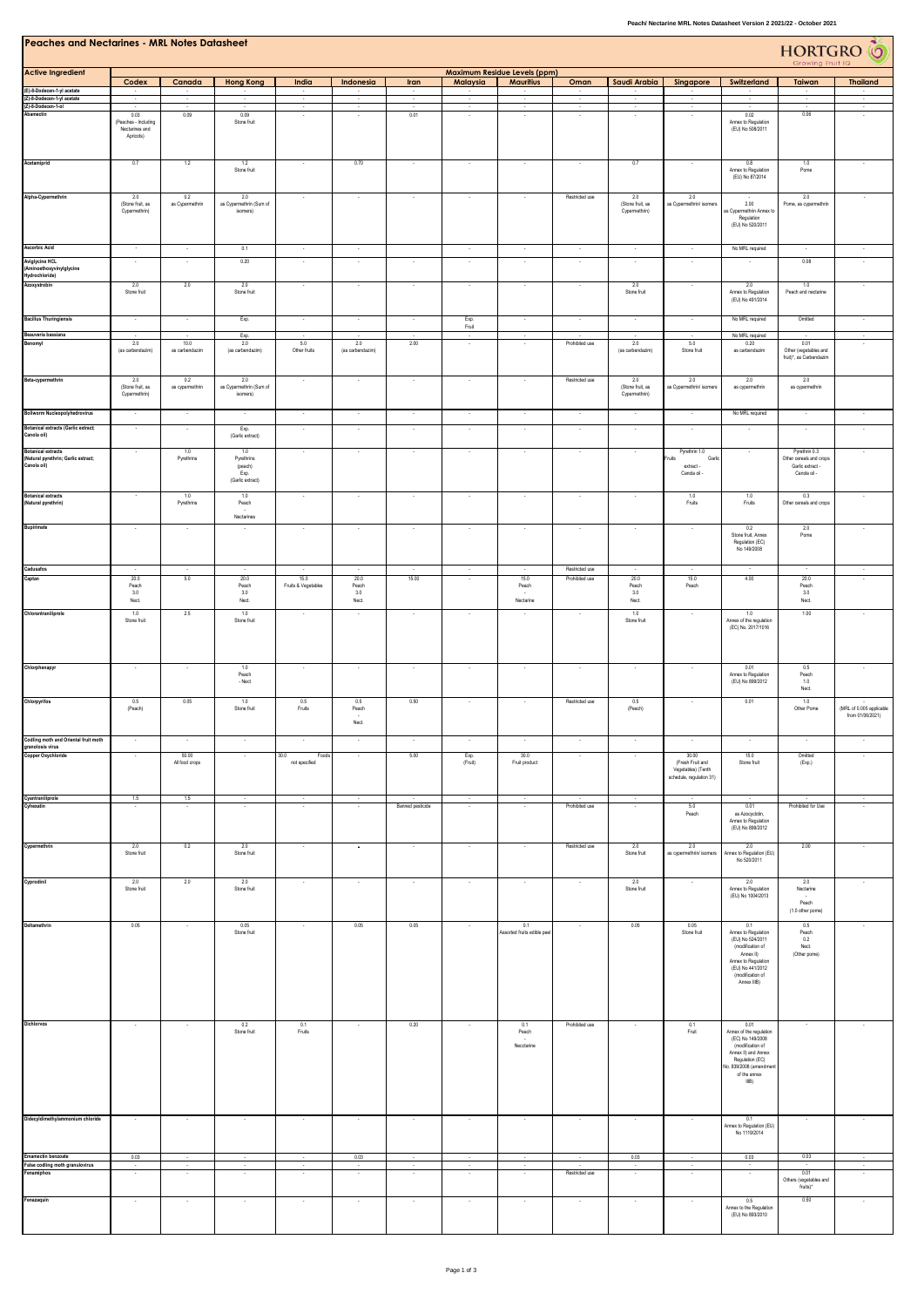| <b>Peaches and Nectarines - MRL Notes Datasheet</b><br>HORTGRO <sup>T</sup> O<br>Growing Fruit IQ |                                                    |                                  |                                                          |                                |                       |                                                      |                          |                                                         |                                  |                                                     |                                                                             |                                                                                                                                                                     |                                                                              |                                              |
|---------------------------------------------------------------------------------------------------|----------------------------------------------------|----------------------------------|----------------------------------------------------------|--------------------------------|-----------------------|------------------------------------------------------|--------------------------|---------------------------------------------------------|----------------------------------|-----------------------------------------------------|-----------------------------------------------------------------------------|---------------------------------------------------------------------------------------------------------------------------------------------------------------------|------------------------------------------------------------------------------|----------------------------------------------|
| <b>Active Ingredient</b>                                                                          | Codex                                              | Canada                           | <b>Hong Kong</b>                                         | India                          | Indonesia             | Iran                                                 | Malaysia                 | <b>Maximum Residue Levels (ppm)</b><br><b>Mauritius</b> | Oman                             | Saudi Arabia                                        | Singapore                                                                   | Switzerland                                                                                                                                                         | Taiwan                                                                       | <b>Thailand</b>                              |
| (E)-8-Dodecen-1-yl acetate<br>(Z)-8-Dodecen-1-yl acetate                                          |                                                    |                                  |                                                          |                                |                       | $\overline{\phantom{a}}$<br>$\overline{\phantom{a}}$ |                          |                                                         |                                  |                                                     |                                                                             |                                                                                                                                                                     | ÷                                                                            |                                              |
| (Z)-8-Dodecen-1-ol<br>Abamectin                                                                   | 0.03<br>(Peaches - Including<br>Nectarines and     | 0.09                             | 0.09<br>Stone fruit                                      | $\sim$                         | $\sim$                | ÷,<br>0.01                                           | $\sim$                   | $\sim$                                                  | $\sim$                           | $\sim$                                              | $\sim$                                                                      | $\cdot$<br>0.02<br>Annex to Regulation<br>(EU) No 508/2011                                                                                                          | н<br>0.06                                                                    | $\mathcal{L}$<br>$\sim$                      |
| Acetamiprid                                                                                       | Apricots)<br>0.7                                   | 1.2                              | 1.2<br>Stone fruit                                       | $\sim$                         | 0.70                  | $\cdot$                                              | $\sim$                   | $\sim$                                                  | $\sim$                           | 0.7                                                 | $\overline{\phantom{a}}$                                                    | 0.8<br>Annex to Regulation                                                                                                                                          | 1.0<br>Pome                                                                  |                                              |
| Alpha-Cypermethrin                                                                                | 2.0                                                | 0.2                              | 2.0                                                      |                                |                       |                                                      |                          |                                                         | Restricted use                   | 2.0                                                 | 2.0                                                                         | (EU) No 87/2014                                                                                                                                                     | 2.0                                                                          |                                              |
|                                                                                                   | (Stone fruit, as<br>Cypermethrin)                  | as Cypermethrin                  | as Cypermethrin (Sum of<br>isomers)                      |                                |                       |                                                      |                          |                                                         |                                  | (Stone fruit, as<br>Cypermethrin)                   | as Cypermethrin/ isomers                                                    | 2.00<br>s Cypermethrin Annex to<br>Regulation<br>(EU) No 520/2011                                                                                                   | Pome, as cypermethrin                                                        |                                              |
| <b>Ascorbic Acid</b>                                                                              | $\sim$                                             | $\sim$                           | 0.1                                                      | $\sim$                         | $\cdot$               |                                                      | $\ddot{\phantom{a}}$     | $\sim$                                                  | ×                                | $\cdot$                                             | $\cdot$                                                                     | No MRL required                                                                                                                                                     | $\overline{\phantom{a}}$                                                     | $\cdot$                                      |
| <b>Aviglycine HCL</b><br>(Aminoethoxyvinylglycine                                                 |                                                    |                                  | 0.20                                                     |                                |                       | ÷.                                                   |                          |                                                         |                                  |                                                     |                                                                             |                                                                                                                                                                     | 0.08                                                                         |                                              |
| Hydrochloride)<br>Azoxystrobin                                                                    | 2.0<br>Stone fruit                                 | $2.0\,$                          | 2.0<br>Stone fruit                                       |                                |                       | $\cdot$                                              |                          |                                                         |                                  | 2.0<br>Stone fruit                                  |                                                                             | 2.0<br>Annex to Regulation<br>(EU) No 491/2014                                                                                                                      | $1.0\,$<br>Peach and nectarine                                               |                                              |
| <b>Bacillus Thuringiensis</b>                                                                     | $\sim$                                             | $\sim$                           | Exp.                                                     | $\sim$                         | $\sim$                | $\cdot$                                              | Exp.<br>Fruit            | $\sim$                                                  | $\sim$                           | $\sim$                                              | $\sim$                                                                      | No MRL required                                                                                                                                                     | Omitted                                                                      | $\sim$                                       |
| Beauveria bassiana<br>Benomyl                                                                     | 2.0                                                | 10.0                             | Exp.<br>2.0                                              | 5.0                            | 2.0                   | 2.00                                                 | $\sim$<br>$\sim$         | $\sim$                                                  | Prohibited use                   | 2.0                                                 | 5.0                                                                         | No MRL required<br>0.20                                                                                                                                             | 0.01                                                                         | $\sim$<br>÷.                                 |
|                                                                                                   | (as carbendazim)                                   | as carbendazim                   | (as carbendazim)                                         | Other fruits                   | (as carbendazim)      |                                                      |                          |                                                         |                                  | (as carbendazim)                                    | Stone fruit                                                                 | as carbendazim                                                                                                                                                      | Other (vegetables and<br>fruit)*, as Carbendazim                             |                                              |
| Beta-cypermethrin<br><b>Bollworm Nucleopolyhedrovirus</b>                                         | 2.0<br>(Stone fruit, as<br>Cypermethrin)<br>$\sim$ | 0.2<br>as cypermethrin<br>$\sim$ | 2.0<br>as Cypermethrin (Sum of<br>isomers)<br>$\sim$     | $\sim$<br>$\sim$               | $\sim$<br>$\sim$      | $\cdot$<br>$\cdot$                                   | $\cdot$<br>$\sim$        | $\sim$<br>$\sim$                                        | Restricted use<br>$\sim$         | 2.0<br>(Stone fruit, as<br>Cypermethrin)<br>$\cdot$ | 2.0<br>as Cypermethrin/ isomers<br>$\lambda$                                | 2.0<br>as cypermethrin<br>No MRL required                                                                                                                           | 2.0<br>as cypermethrin<br>$\cdot$                                            |                                              |
| <b>Botanical extracts (Garlic extract;</b>                                                        |                                                    | $\overline{\phantom{a}}$         | Exp.                                                     | $\overline{\phantom{a}}$       | $\sim$                | $\sim$                                               | $\sim$                   | $\sim$                                                  | ÷,                               | $\sim$                                              | ×,                                                                          |                                                                                                                                                                     | $\sim$                                                                       |                                              |
| Canola oil)                                                                                       |                                                    |                                  | (Garlic extract)                                         |                                |                       |                                                      |                          |                                                         |                                  |                                                     |                                                                             |                                                                                                                                                                     |                                                                              |                                              |
| <b>Botanical extracts</b><br>(Natural pyrethrin; Garlic extract;<br>Canola oil)                   |                                                    | 1.0<br>Pyrethrins                | 1.0<br>Pyrethrins<br>(peach)<br>Exp.<br>(Garlic extract) |                                |                       | $\sim$                                               |                          |                                                         |                                  | $\sim$                                              | Pyrethrin 1.0<br>Fruits<br>Garlic<br>extract -<br>Canola oil -              | $\overline{\phantom{a}}$                                                                                                                                            | Pyrethrin 0.3<br>Other cereals and crops<br>Garlic extract -<br>Canola oil - | ٠                                            |
| <b>Botanical extracts</b><br>(Natural pyrethrin)                                                  |                                                    | 1.0<br>Pyrethrins                | 1.0<br>Peach<br>$\overline{\phantom{a}}$<br>Nectarines   | $\cdot$                        | $\cdot$               | $\cdot$                                              | $\overline{\phantom{a}}$ | $\cdot$                                                 | $\overline{\phantom{a}}$         | $\cdot$                                             | 1.0<br>Fruits                                                               | 1.0<br>Fruits                                                                                                                                                       | 0.3<br>Other cereals and crops                                               |                                              |
| Bupirimate                                                                                        |                                                    |                                  |                                                          |                                |                       |                                                      |                          |                                                         |                                  |                                                     |                                                                             | 0.2<br>Stone fruit, Annex<br>Regulation (EC)<br>No 149/2008                                                                                                         | 2.0<br>Pome                                                                  |                                              |
| Cadusafos<br>Captan                                                                               | 20.0                                               | $\sim$<br>5.0                    | $20.0\,$                                                 | 15.0                           | ÷.<br>20.0            | 15.00                                                | $\sim$                   | 15.0                                                    | Restricted use<br>Prohibited use | 20.0                                                | 15.0                                                                        | $\sim$<br>4.00                                                                                                                                                      | $\sim$<br>$20.0\,$                                                           |                                              |
| Chlorantraniliprole                                                                               | Peach<br>3.0<br>Nect.<br>1.0                       | 2.5                              | Peach<br>3.0<br>Nect.<br>1.0                             | Fruits & Vegetables            | Peach<br>3.0<br>Nect. |                                                      |                          | Peach<br>Nectarine                                      |                                  | Peach<br>$3.0\,$<br>Nect.<br>1.0                    | Peach                                                                       | 1.0                                                                                                                                                                 | Peach<br>3.0<br>${\sf Nect}$<br>1.00                                         |                                              |
|                                                                                                   | Stone fruit                                        |                                  | Stone fruit                                              |                                |                       |                                                      |                          |                                                         |                                  | Stone fruit                                         |                                                                             | Annex of the regulation<br>(EC) No. 2017/1016                                                                                                                       |                                                                              |                                              |
| Chlorphenapyr                                                                                     |                                                    |                                  | $1.0\,$<br>Peach<br>$-$ Nect                             |                                |                       | $\cdot$                                              |                          |                                                         |                                  |                                                     |                                                                             | 0.01<br>Annex to Regulation<br>(EU) No 899/2012                                                                                                                     | $0.5\,$<br>Peach<br>$1.0\,$<br>Nect.                                         |                                              |
| Chlorpyrifos                                                                                      | 0.5<br>(Peach)                                     | 0.05                             | 1.0<br>Stone fruit                                       | 0.5<br>Fruits                  | 0.5<br>Peach<br>Nect. | 0.50                                                 |                          |                                                         | Restricted use                   | 0.5<br>(Peach)                                      | $\sim$                                                                      | 0.01                                                                                                                                                                | 1.0<br>Other Pome                                                            | (MRL of 0.005 applicable<br>from 01/06/2021) |
| Codling moth and Oriental fruit moth<br>granolosis virus                                          |                                                    |                                  |                                                          |                                |                       |                                                      |                          |                                                         |                                  |                                                     |                                                                             |                                                                                                                                                                     |                                                                              |                                              |
| <b>Copper Oxychloride</b>                                                                         |                                                    | 50.00<br>All food crops          |                                                          | 30.0<br>Foods<br>not specified |                       | 5.00                                                 | Exp.<br>(Fruit)          | 30.0<br>Fruit product                                   |                                  |                                                     | 30.00<br>(Fresh Fruit and<br>Vegetables) (Tenth<br>schedule, regulation 31) | 15.0<br>Stone fruit                                                                                                                                                 | Omitted<br>(Exp.)                                                            |                                              |
| Cyantraniliprole<br>Cyhexatin                                                                     | 1.5                                                | 1.5                              |                                                          |                                |                       | Banned pesticide                                     | $\sim$                   |                                                         | Prohibited use                   |                                                     | 5.0<br>Peach                                                                | 0.01<br>as Azocyclotin,<br>Annex to Regulation<br>(EU) No 899/2012                                                                                                  | Prohibited for Use                                                           |                                              |
| Cypermethrin                                                                                      | 2.0<br>Stone fruit                                 | 0.2                              | 2.0<br>Stone fruit                                       | $\sim$                         | $\sim$                | $\cdot$                                              | $\sim$                   | $\sim$                                                  | Restricted use                   | 2.0<br>Stone fruit                                  | 2.0<br>as cypermethrin/ isomers                                             | 2.0<br>Annex to Regulation (EU)<br>No 520/2011                                                                                                                      | 2.00                                                                         |                                              |
| Cyprodinil                                                                                        | 2.0<br>Stone fruit                                 | 2.0                              | 2.0<br>Stone fruit                                       |                                |                       | ×                                                    |                          |                                                         |                                  | 2.0<br>Stone fruit                                  |                                                                             | 2.0<br>Annex to Regulation<br>(EU) No 1004/2013                                                                                                                     | 2.0<br>Nectarine<br>Peach                                                    |                                              |
| Deltamethrin                                                                                      | 0.05                                               |                                  | 0.05<br>Stone fruit                                      |                                | 0.05                  | 0.05                                                 |                          | 0.1<br>Assorted fruits edible pe                        |                                  | 0.05                                                | 0.05<br>Stone fruit                                                         | 0.1<br>Annex to Regulation<br>(EU) No 524/2011                                                                                                                      | (1.0 other pome)<br>0.5<br>Peach<br>0.2                                      |                                              |
|                                                                                                   |                                                    |                                  |                                                          |                                |                       |                                                      |                          |                                                         |                                  |                                                     |                                                                             | (modification of<br>Annex II)<br>Annex to Regulation<br>(EU) No 441/2012<br>(modification of<br>Annex IIIB)                                                         | Nect.<br>(Other pome)                                                        |                                              |
| Dichlorvos                                                                                        | $\sim$                                             |                                  | 0.2<br>Stone fruit                                       | 0.1<br>Fruits                  |                       | 0.20                                                 |                          | 0.1<br>Peach<br>Necctarine                              | Prohibited use                   |                                                     | 0.1<br>Fruit                                                                | 0.01<br>Annex of the regulation<br>(EC) No 149/2008<br>(modification of<br>Annex II) and Annex<br>Regulation (EC)<br>No. 839/2008 (amendme<br>of the annex<br>IIIB) | ٠                                                                            |                                              |
| Didecyldimethylammonium chloride                                                                  |                                                    |                                  |                                                          |                                |                       |                                                      |                          |                                                         |                                  |                                                     |                                                                             | 0.1<br>Annex to Regulation (EU)<br>No 1119/2014                                                                                                                     |                                                                              |                                              |
| Emamectin benzoate<br>False codling moth granulovirus                                             | 0.03                                               |                                  |                                                          |                                | 0.03                  |                                                      |                          |                                                         |                                  | 0.03                                                |                                                                             | 0.03                                                                                                                                                                | 0.03                                                                         |                                              |
| Fenamiphos                                                                                        |                                                    |                                  |                                                          |                                |                       |                                                      |                          |                                                         | Restricted use                   |                                                     |                                                                             |                                                                                                                                                                     | 0.01<br>Others (vegetables and                                               |                                              |
| Fenazaquin                                                                                        |                                                    |                                  |                                                          |                                |                       |                                                      |                          |                                                         |                                  |                                                     |                                                                             | 0.5<br>Annex to the Regulation<br>(EU) No 893/2010                                                                                                                  | fruits)*<br>0.50                                                             |                                              |
|                                                                                                   |                                                    |                                  |                                                          |                                |                       |                                                      |                          |                                                         |                                  |                                                     |                                                                             |                                                                                                                                                                     |                                                                              |                                              |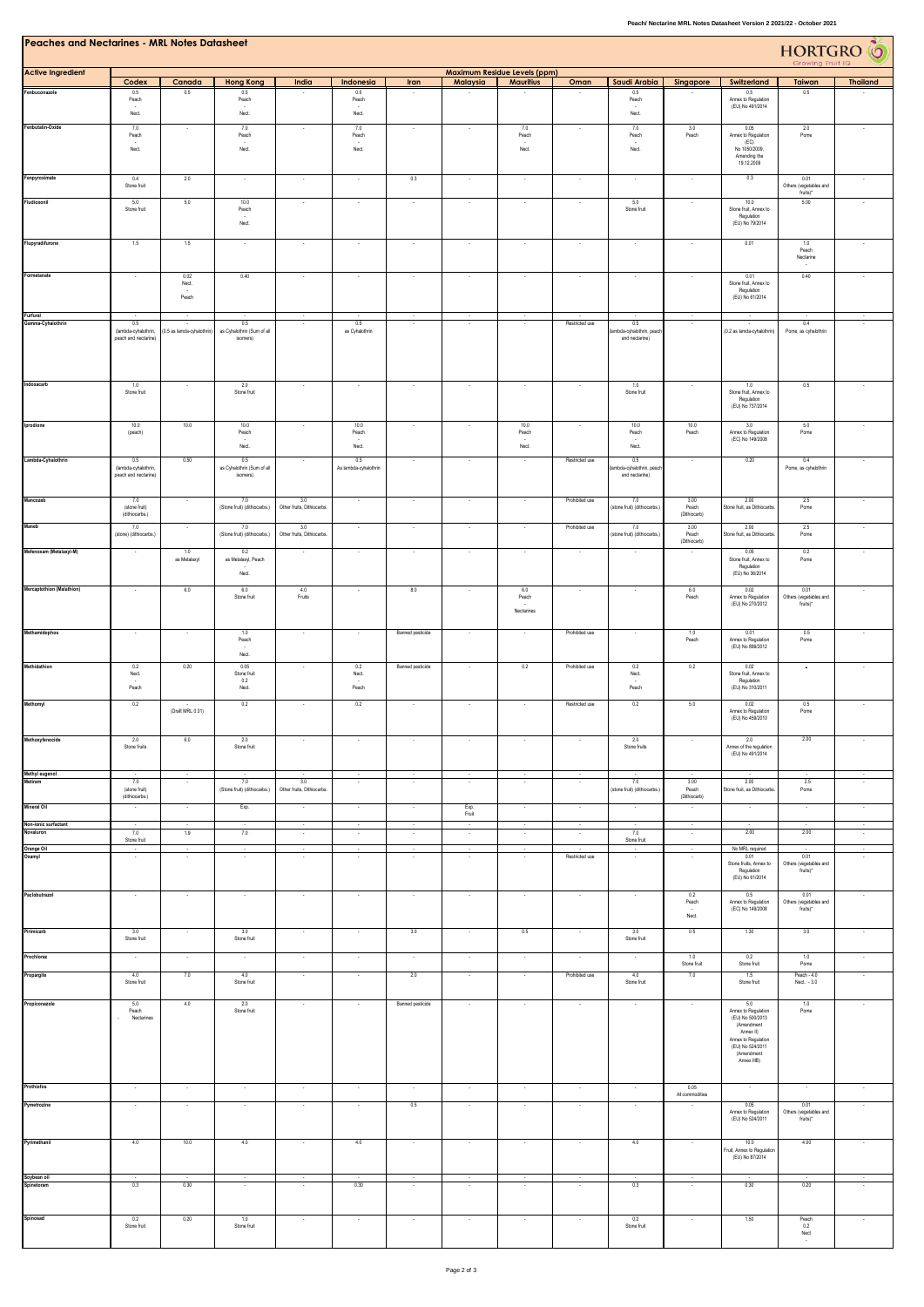| <b>Peaches and Nectarines - MRL Notes Datasheet</b> |                                              |                           |                                            |                                   |                                  |                          |                  |                                                         |                |                                            |                               |                                                                                                                                                   | HORTGRO <sup>6</sup><br>Growing Fruit IQ   |                   |
|-----------------------------------------------------|----------------------------------------------|---------------------------|--------------------------------------------|-----------------------------------|----------------------------------|--------------------------|------------------|---------------------------------------------------------|----------------|--------------------------------------------|-------------------------------|---------------------------------------------------------------------------------------------------------------------------------------------------|--------------------------------------------|-------------------|
| <b>Active Ingredient</b>                            |                                              |                           |                                            |                                   | Indonesia                        |                          |                  | <b>Maximum Residue Levels (ppm)</b><br><b>Mauritius</b> |                | Saudi Arabia                               |                               |                                                                                                                                                   |                                            |                   |
| Fenbuconazole                                       | Codex<br>0.5                                 | Canada<br>0.5             | <b>Hong Kong</b><br>0.5                    | India                             | 0.5                              | Iran                     | Malaysia         |                                                         | Oman           | 0.5                                        | Singapore                     | Switzerland<br>0.5                                                                                                                                | Taiwan<br>0.5                              | <b>Thailand</b>   |
|                                                     | Peach<br>Nect.                               |                           | Peach<br>Nect.                             |                                   | Peach<br>Nect.                   |                          |                  |                                                         |                | Peach<br>Nect.                             |                               | Annex to Regulation<br>(EU) No 491/2014                                                                                                           |                                            |                   |
| Fenbutatin-Oxide                                    | 7.0<br>Peach                                 |                           | 7.0<br>Peach<br>$\sim$                     | ٠                                 | 7.0<br>Peach<br>$\sim$           | $\overline{\phantom{a}}$ |                  | 7.0<br>Peach                                            |                | 7.0<br>Peach                               | 3.0<br>Peach                  | 0.05<br>Annex to Regulation<br>(EC)                                                                                                               | 2.0<br>Pome                                |                   |
|                                                     | Nect.                                        |                           | Nect.                                      |                                   | Nect.                            |                          |                  | Nect.                                                   |                | Nect.                                      |                               | No 1050/2009.<br>Amending the<br>19.12.2009                                                                                                       |                                            |                   |
| Fenpyroximate                                       | 0.4<br>Stone fruit                           | 2.0                       | $\sim$                                     | $\sim$                            | $\sim$                           | 0.3                      | $\sim$           | $\cdot$                                                 | $\sim$         | $\sim$                                     | $\sim$                        | 0.3                                                                                                                                               | 0.01<br>Others (vegetables and             |                   |
| Fludioxonil                                         | 5.0                                          | 5.0                       | 10.0                                       | ٠                                 | $\sim$                           | $\overline{\phantom{a}}$ | $\sim$           | $\sim$                                                  |                | 5.0                                        | $\sim$                        | 10.0                                                                                                                                              | fruits)*<br>5.00                           |                   |
|                                                     | Stone fruit                                  |                           | Peach<br>$\overline{\phantom{a}}$<br>Nect. |                                   |                                  |                          |                  |                                                         |                | Stone fruit                                |                               | Stone fruit, Annex to<br>Regulation<br>(EU) No 79/2014                                                                                            |                                            |                   |
| Flupyradifurone                                     | 1.5                                          | 1.5                       |                                            |                                   |                                  | ×                        |                  |                                                         |                |                                            |                               | 0.01                                                                                                                                              | 1.0<br>Peach<br>Nectarine                  |                   |
| Formetanate                                         | ÷,                                           | 0.02<br>Nect.             | 0.40                                       |                                   | $\sim$                           | $\lambda$                | $\sim$           | $\sim$                                                  |                | $\epsilon$                                 |                               | 0.01<br>Stone fruit, Annex to<br>Regulation                                                                                                       | 0.40                                       |                   |
|                                                     |                                              | Peach                     |                                            |                                   |                                  |                          |                  |                                                         |                |                                            |                               | (EU) No 61/2014                                                                                                                                   |                                            |                   |
| Furfural<br>Gamma-Cyhalothrin                       | 0.5                                          | (0.5 as lamda-cyhalothrin | 0.5                                        |                                   | 0.5<br>as Cyhalothrin            |                          |                  |                                                         | Restricted use | 0.5                                        |                               | (0.2 as lamda-cyhalothrin)                                                                                                                        | 0.4<br>Pome, as cyhalothrin                |                   |
|                                                     | (lambda-cyhalothrin,<br>peach and nectarine) |                           | as Cyhalothrin (Sum of all<br>isomers)     |                                   |                                  |                          |                  |                                                         |                | mbda-cyhalothrin, peach<br>and nectarine)  |                               |                                                                                                                                                   |                                            |                   |
| Indoxacarb                                          | 1.0                                          |                           | 2.0                                        |                                   |                                  |                          |                  |                                                         |                | 1.0                                        |                               | 1.0                                                                                                                                               | 0.5                                        |                   |
|                                                     | Stone fruit                                  |                           | Stone fruit                                |                                   |                                  |                          |                  |                                                         |                | Stone fruit                                |                               | Stone fruit, Annex to<br>Regulation<br>(EU) No 737/2014                                                                                           |                                            |                   |
| Iprodione                                           | 10.0<br>(peach)                              | 10.0                      | 10.0<br>Peach<br>Nect.                     |                                   | 10.0<br>Peach<br>Nect.           | $\cdot$                  | $\sim$           | 10.0<br>Peach<br>Nect.                                  |                | 10.0<br>Peach<br>Nect.                     | 10.0<br>Peach                 | 3.0<br>Annex to Regulation<br>(EC) No 149/2008                                                                                                    | 5.0<br>Pome                                |                   |
| Lambda-Cyhalothrin                                  | 0.5                                          | 0.50                      | 0.5                                        | $\sim$                            | 0.5                              | $\sim$                   | $\sim$           | $\sim$                                                  | Restricted use | 0.5                                        | $\sim$                        | 0.20                                                                                                                                              | 0.4                                        | $\cdot$           |
|                                                     | (lambda-cyhalothrin<br>peach and nectarine)  |                           | as Cyhalothrin (Sum of all<br>isomers)     |                                   | As lambda-cyhalothrin            |                          |                  |                                                         |                | ambda-cyhalothrin, peacl<br>and nectarine) |                               |                                                                                                                                                   | Pome, as cyhalothrin                       |                   |
| Mancozeb                                            | 7.0<br>(stone fruit)<br>(dithiocarbs.)       |                           | 7.0<br>(Stone fruit) (dithiocarbs.)        | 3.0<br>Other fruits, Dithiocarbs. | $\sim$                           | $\sim$                   | $\sim$           | $\sim$                                                  | Prohibited use | 7.0<br>(stone fruit) (dithiocarbs.)        | 3.00<br>Peach<br>(Dithiocarb) | 2.00<br>Stone fruit, as Dithiocarbs.                                                                                                              | 2.5<br>Pome                                |                   |
| Maneb                                               | 7.0                                          | $\sim$                    | 7.0                                        | 3.0                               | $\sim$                           | $\sim$                   | $\sim$           | $\cdot$                                                 | Prohibited use | 7.0                                        | 3.00                          | 2.00                                                                                                                                              | $2.5\,$                                    |                   |
| Mefenoxam (Metalaxyl-M)                             | (stone) (dithiocarbs.)                       | 1.0                       | (Stone fruit) (dithiocarbs.)<br>0.2        | Other fruits, Dithiocarbs.        |                                  |                          |                  |                                                         |                | stone fruit) (dithiocarbs.)                | Peach<br>(Diffriocarb)        | Stone fruit, as Dithiocarbs<br>0.05                                                                                                               | Pome<br>0.2                                |                   |
|                                                     |                                              | as Metalaxyl              | as Metalaxyl, Peach<br>Nect.               |                                   |                                  |                          |                  |                                                         |                |                                            |                               | Stone fruit, Annex to<br>Regulation<br>(EU) No 36/2014                                                                                            | Pome                                       |                   |
| Mercaptothion (Malathion)                           |                                              | 6.0                       | 6.0<br>Stone fruit                         | 4.0<br>Fruits                     |                                  | 8.0                      |                  | 6.0<br>Peach<br>Nectarines                              |                |                                            | 6.0<br>Peach                  | 0.02<br>Annex to Regulation<br>(EU) No 270/2012                                                                                                   | 0.01<br>Others (vegetables and<br>fruits)* |                   |
| Methamidophos                                       |                                              | $\cdot$                   | 1.0                                        | $\overline{\phantom{a}}$          | $\overline{\phantom{a}}$         | Banned pesticide         | $\sim$           | $\sim$                                                  | Prohibited use |                                            | 1.0                           | 0.01                                                                                                                                              | 0.5                                        |                   |
|                                                     | $\cdot$                                      |                           | Peach<br>Nect.                             |                                   |                                  |                          |                  |                                                         |                | $\overline{\phantom{a}}$                   | Peach                         | Annex to Regulation<br>(EU) No 899/2012                                                                                                           | Pome                                       |                   |
| Methidathion                                        | 0.2<br>Nect.<br>Peach                        | 0.20                      | 0.05<br>Stone fruit<br>0.2<br>Nect.        | $\sim$                            | 0.2<br>Nect.<br>Peach            | Banned pesticide         |                  | 0.2                                                     | Prohibited use | 0.2<br>Nect.<br>Peach                      | 0.2                           | 0.02<br>Stone fruit, Annex to<br>Regulation<br>(EU) No 310/2011                                                                                   | $\sim$                                     |                   |
| Methomyl                                            | 0.2                                          | (Draft MRL 0.01)          | 0.2                                        |                                   | 0.2                              |                          |                  |                                                         | Restricted use | 0.2                                        | $5.0\,$                       | 0.02<br>Annex to Regulation<br>(EU) No 459/2010                                                                                                   | 0.5<br>Pome                                |                   |
| Methoxyfenocide                                     | 2.0<br>Stone fruits                          | 6.0                       | 2.0<br>Stone fruit                         | ٠                                 |                                  | $\sim$                   |                  | $\sim$                                                  |                | 2.0<br>Stone fruits                        | $\sim$                        | 2.0<br>Annex of the regulation<br>(EU) No 491/2014                                                                                                | 2.00                                       | $\cdot$           |
| Methyl eugenol                                      |                                              | $\sim$                    |                                            |                                   | $\sim$                           | $\sim$                   |                  | $\cdot$                                                 | $\cdot$        |                                            |                               |                                                                                                                                                   |                                            |                   |
| Metiram                                             | 7.0<br>(stone fruit)<br>(dithiocarbs.)       | $\sim$                    | 7.0<br>(Stone fruit) (dithiocarbs.)        | 3.0<br>Other fruits, Dithiocarbs. | $\sim$                           | $\sim$                   | $\sim$           | $\sim$                                                  | $\sim$         | 7.0<br>(stone fruit) (dithiocarbs.)        | 3.00<br>Peach<br>(Dithiocarb) | 2.00<br>Stone fruit, as Dithiocarbs.                                                                                                              | 2.5<br>Pome                                | $\cdot$           |
| Mineral Oil                                         | $\,$ .                                       | $\epsilon$                | Exp.                                       | $\sim$                            | $\sim$                           | $\cdot$                  | Exp.<br>Fruit    | $\cdot$                                                 | $\cdot$        | $\cdot$                                    |                               |                                                                                                                                                   | $\sim$                                     | $\sim$            |
| Non-ionic surfactant                                | $\sim$                                       | $\cdot$                   | $\cdot$                                    | $\sim$                            | $\sim$                           | $\overline{\phantom{a}}$ | $\sim$           | $\sim$                                                  | $\sim$         | $\sim$                                     | $\mathcal{A}$                 |                                                                                                                                                   | $\cdot$<br>2.00                            | $\sim$            |
| Novaluron                                           | 7.0<br>Stone fruit                           | 1.9<br>$\bullet$          | 7.0                                        | $\sim$<br>$\sim$                  | $\cdot$<br>$\cdot$               | $\cdot$<br>$\cdot$       | $\sim$<br>$\sim$ | $\cdot$<br>$\cdot$                                      | $\cdot$        | 7.0<br>Stone fruit                         | $\sim$<br>$\sim$              | 2.00<br>No MRL required                                                                                                                           |                                            | $\cdot$<br>$\sim$ |
| Orange Oil<br>Oxamyl                                | $\sim$                                       | $\sim$                    | $\sim$                                     | $\bullet$                         | $\cdot$                          | $\sim$                   | $\sim$           | $\sim$                                                  | Restricted use | $\sim$                                     | $\sim$                        | 0.01<br>Stone fruits, Annex to<br>Regulation<br>(EU) No 61/2014                                                                                   | 0.01<br>Others (vegetables and<br>fruits)* | $\sim$            |
| Paclobutrazol                                       | $\cdot$                                      | $\sim$                    |                                            | $\overline{\phantom{a}}$          | $\cdot$                          | $\cdot$                  | $\sim$           | $\epsilon$                                              | $\cdot$        | $\cdot$                                    | 0.2<br>Peach                  | 0.5<br>Annex to Regulation<br>(EC) No 149/2008                                                                                                    | 0.01<br>Others (vegetables and<br>fruits)* | $\cdot$           |
| Pirimicarb                                          | 3.0<br>Stone fruit                           | $\sim$                    | 3.0<br>Stone fruit                         | $\sim$                            | $\sim$                           | 3.0                      | $\sim$           | 0.5                                                     | $\sim$         | 3.0<br>Stone fruit                         | Nect.<br>0.5                  | 1.30                                                                                                                                              | 3.0                                        | $\sim$            |
| Prochloraz                                          | $\sim$                                       | $\sim$                    | $\sim$                                     | $\sim$                            | $\sim$                           | $\sim$                   | $\sim$           | $\sim$                                                  | $\sim$         | $\sim$                                     | 1.0                           | 0.2                                                                                                                                               | 1.0                                        | $\sim$            |
| Propargite                                          | 4.0                                          | 7.0                       | 4.0                                        | $\sim$                            | $\sim$                           | 2.0                      | $\sim$           | $\sim$                                                  | Prohibited use | 4.0                                        | Stone fruit<br>7.0            | Stone fruit<br>1.5                                                                                                                                | Pome<br>Peach - 4.0                        | $\sim$            |
|                                                     | Stone fruit                                  |                           | Stone fruit                                |                                   |                                  |                          |                  |                                                         |                | Stone fruit                                |                               | Stone fruit                                                                                                                                       | Nect. - 3.0                                |                   |
| Propiconazole                                       | 5.0<br>Peach<br>Nectarines                   | 4.0                       | 2.0<br>Stone fruit                         | $\sim$                            | $\sim$                           | Banned pesticide         | $\sim$           | $\sim$                                                  | $\sim$         | $\sim$                                     | $\sim$                        | 5.0<br>Annex to Regulation<br>(EU) No 500/2013<br>(Amendment<br>Annex II)<br>Annex to Regulation<br>(EU) No 524/2011<br>(Amendment<br>Annex IIIB) | 1.0<br>Pome                                | $\cdot$           |
| Prothiofos                                          | $\sim$                                       | $\sim$                    | $\sim$                                     | $\sim$                            | $\sim$                           | $\sim$                   | $\sim$           | $\sim$                                                  | $\sim$         | $\sim$                                     | 0.05                          |                                                                                                                                                   |                                            | $\sim$            |
| Pymetrozine                                         | $\sim$                                       | $\sim$                    | $\sim$                                     | $\sim$                            | $\sim$                           | 0.5                      | $\sim$           | $\cdot$                                                 | $\sim$         | $\cdot$                                    | All commodities               | 0.05<br>Annex to Regulation<br>(EU) No 524/2011                                                                                                   | 0.01<br>Others (vegetables and<br>fruits)* | $\sim$            |
| Pyrimethanil                                        | 4.0                                          | 10.0                      | 4.0                                        | $\sim$                            | 4.0                              | $\cdot$                  | $\sim$           | $\sim$                                                  | $\sim$         | 4.0                                        |                               | 10.0                                                                                                                                              | 4.00                                       |                   |
|                                                     |                                              |                           |                                            |                                   |                                  |                          |                  |                                                         |                |                                            |                               | Fruit. Annex to Regulation<br>(EU) No 87/2014                                                                                                     |                                            |                   |
| Soybean oil<br>Spinetoram                           | 0.3                                          | 0.30                      | $\sim$                                     | $\sim$                            | $\overline{\phantom{a}}$<br>0.30 | $\sim$                   | $\sim$           | $\sim$                                                  | $\sim$         | $\sim$<br>0.3                              | $\cdot$                       | 0.30                                                                                                                                              | $\frac{1}{0.20}$                           |                   |
|                                                     |                                              |                           |                                            |                                   |                                  |                          |                  |                                                         |                |                                            |                               |                                                                                                                                                   |                                            |                   |
| Spinosad                                            | 0.2<br>Stone fruit                           | 0.20                      | 1.0<br>Stone fruit                         | ٠                                 | $\cdot$                          | $\cdot$                  |                  | $\cdot$                                                 |                | 0.2<br>Stone fruit                         | $\cdot$                       | 1.50                                                                                                                                              | Peach<br>0.2<br>Nect                       | ٠                 |